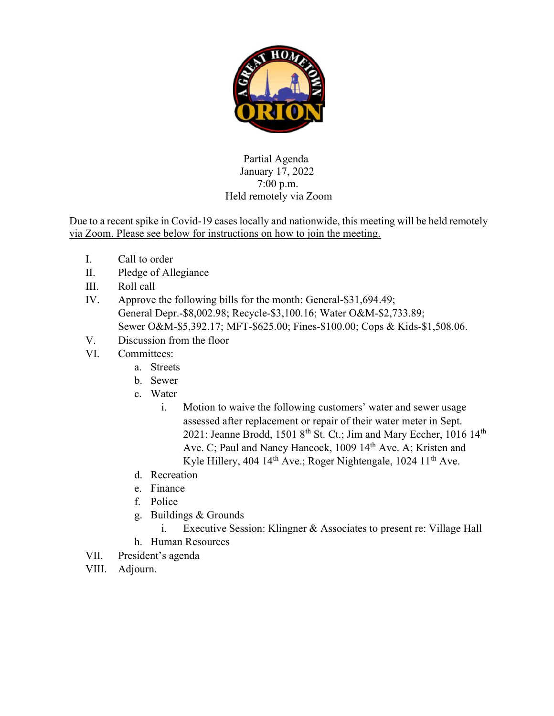

## Partial Agenda January 17, 2022 7:00 p.m. Held remotely via Zoom

Due to a recent spike in Covid-19 cases locally and nationwide, this meeting will be held remotely via Zoom. Please see below for instructions on how to join the meeting.

- I. Call to order
- II. Pledge of Allegiance
- III. Roll call
- IV. Approve the following bills for the month: General-\$31,694.49; General Depr.-\$8,002.98; Recycle-\$3,100.16; Water O&M-\$2,733.89; Sewer O&M-\$5,392.17; MFT-\$625.00; Fines-\$100.00; Cops & Kids-\$1,508.06.
- V. Discussion from the floor
- VI. Committees:
	- a. Streets
	- b. Sewer
	- c. Water
		- i. Motion to waive the following customers' water and sewer usage assessed after replacement or repair of their water meter in Sept. 2021: Jeanne Brodd, 1501 8<sup>th</sup> St. Ct.; Jim and Mary Eccher, 1016 14<sup>th</sup> Ave. C; Paul and Nancy Hancock, 1009 14<sup>th</sup> Ave. A; Kristen and Kyle Hillery, 404 14<sup>th</sup> Ave.; Roger Nightengale, 1024 11<sup>th</sup> Ave.
	- d. Recreation
	- e. Finance
	- f. Police
	- g. Buildings & Grounds
		- i. Executive Session: Klingner & Associates to present re: Village Hall
	- h. Human Resources
- VII. President's agenda
- VIII. Adjourn.